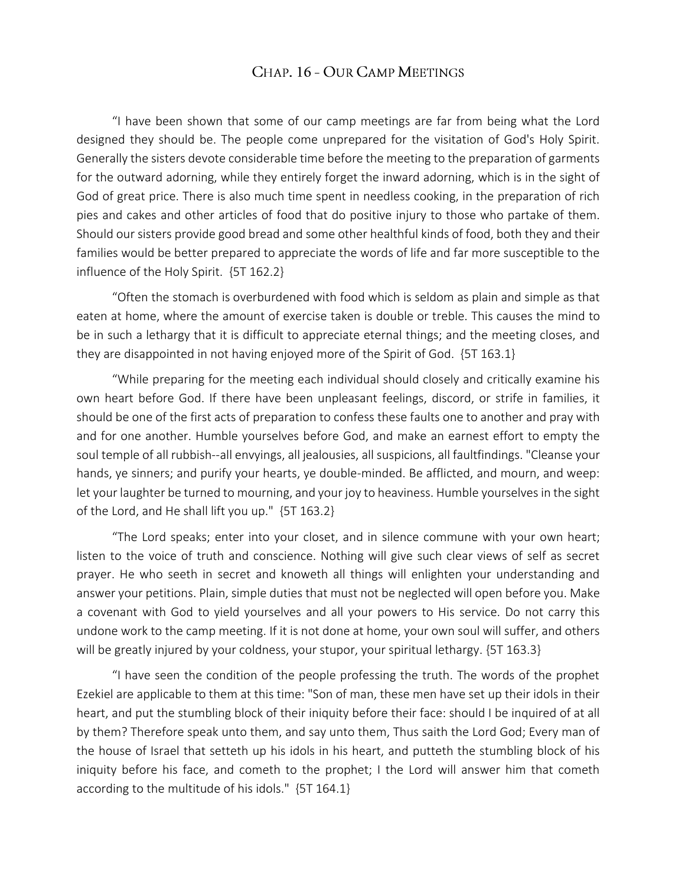## CHAP. 16 - OUR CAMP MEETINGS

 "I have been shown that some of our camp meetings are far from being what the Lord designed they should be. The people come unprepared for the visitation of God's Holy Spirit. Generally the sisters devote considerable time before the meeting to the preparation of garments for the outward adorning, while they entirely forget the inward adorning, which is in the sight of God of great price. There is also much time spent in needless cooking, in the preparation of rich pies and cakes and other articles of food that do positive injury to those who partake of them. Should our sisters provide good bread and some other healthful kinds of food, both they and their families would be better prepared to appreciate the words of life and far more susceptible to the influence of the Holy Spirit. {5T 162.2}

 "Often the stomach is overburdened with food which is seldom as plain and simple as that eaten at home, where the amount of exercise taken is double or treble. This causes the mind to be in such a lethargy that it is difficult to appreciate eternal things; and the meeting closes, and they are disappointed in not having enjoyed more of the Spirit of God. {5T 163.1}

 "While preparing for the meeting each individual should closely and critically examine his own heart before God. If there have been unpleasant feelings, discord, or strife in families, it should be one of the first acts of preparation to confess these faults one to another and pray with and for one another. Humble yourselves before God, and make an earnest effort to empty the soul temple of all rubbish--all envyings, all jealousies, all suspicions, all faultfindings. "Cleanse your hands, ye sinners; and purify your hearts, ye double-minded. Be afflicted, and mourn, and weep: let your laughter be turned to mourning, and your joy to heaviness. Humble yourselves in the sight of the Lord, and He shall lift you up." {5T 163.2}

 "The Lord speaks; enter into your closet, and in silence commune with your own heart; listen to the voice of truth and conscience. Nothing will give such clear views of self as secret prayer. He who seeth in secret and knoweth all things will enlighten your understanding and answer your petitions. Plain, simple duties that must not be neglected will open before you. Make a covenant with God to yield yourselves and all your powers to His service. Do not carry this undone work to the camp meeting. If it is not done at home, your own soul will suffer, and others will be greatly injured by your coldness, your stupor, your spiritual lethargy.  $\{5T 163.3\}$ 

 "I have seen the condition of the people professing the truth. The words of the prophet Ezekiel are applicable to them at this time: "Son of man, these men have set up their idols in their heart, and put the stumbling block of their iniquity before their face: should I be inquired of at all by them? Therefore speak unto them, and say unto them, Thus saith the Lord God; Every man of the house of Israel that setteth up his idols in his heart, and putteth the stumbling block of his iniquity before his face, and cometh to the prophet; I the Lord will answer him that cometh according to the multitude of his idols." {5T 164.1}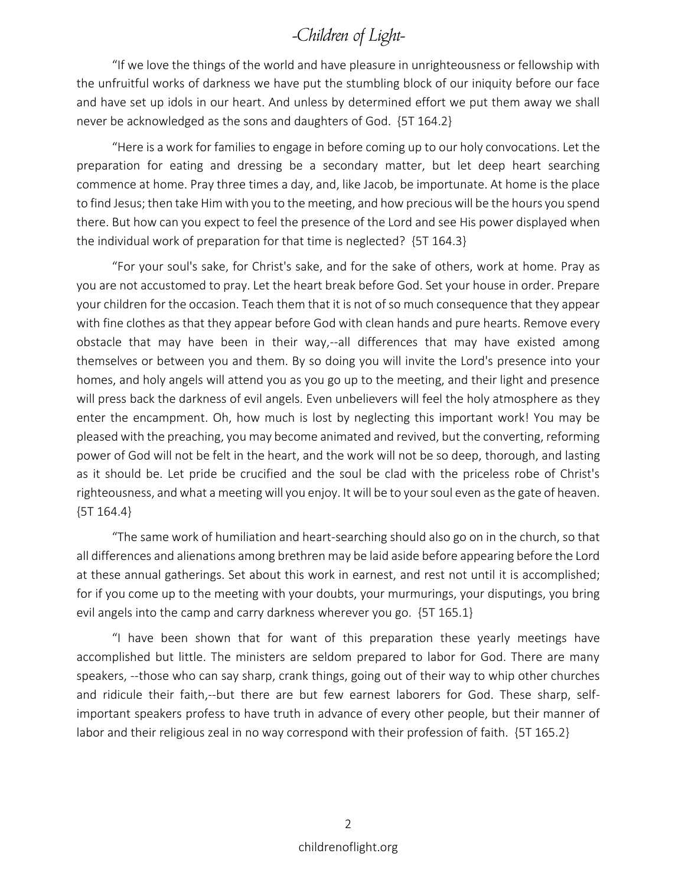## -Children of Light-

 "If we love the things of the world and have pleasure in unrighteousness or fellowship with the unfruitful works of darkness we have put the stumbling block of our iniquity before our face and have set up idols in our heart. And unless by determined effort we put them away we shall never be acknowledged as the sons and daughters of God. {5T 164.2}

 "Here is a work for families to engage in before coming up to our holy convocations. Let the preparation for eating and dressing be a secondary matter, but let deep heart searching commence at home. Pray three times a day, and, like Jacob, be importunate. At home is the place to find Jesus; then take Him with you to the meeting, and how precious will be the hours you spend there. But how can you expect to feel the presence of the Lord and see His power displayed when the individual work of preparation for that time is neglected? {5T 164.3}

 "For your soul's sake, for Christ's sake, and for the sake of others, work at home. Pray as you are not accustomed to pray. Let the heart break before God. Set your house in order. Prepare your children for the occasion. Teach them that it is not of so much consequence that they appear with fine clothes as that they appear before God with clean hands and pure hearts. Remove every obstacle that may have been in their way,--all differences that may have existed among themselves or between you and them. By so doing you will invite the Lord's presence into your homes, and holy angels will attend you as you go up to the meeting, and their light and presence will press back the darkness of evil angels. Even unbelievers will feel the holy atmosphere as they enter the encampment. Oh, how much is lost by neglecting this important work! You may be pleased with the preaching, you may become animated and revived, but the converting, reforming power of God will not be felt in the heart, and the work will not be so deep, thorough, and lasting as it should be. Let pride be crucified and the soul be clad with the priceless robe of Christ's righteousness, and what a meeting will you enjoy. It will be to your soul even as the gate of heaven. {5T 164.4}

 "The same work of humiliation and heart-searching should also go on in the church, so that all differences and alienations among brethren may be laid aside before appearing before the Lord at these annual gatherings. Set about this work in earnest, and rest not until it is accomplished; for if you come up to the meeting with your doubts, your murmurings, your disputings, you bring evil angels into the camp and carry darkness wherever you go. {5T 165.1}

 "I have been shown that for want of this preparation these yearly meetings have accomplished but little. The ministers are seldom prepared to labor for God. There are many speakers, --those who can say sharp, crank things, going out of their way to whip other churches and ridicule their faith,--but there are but few earnest laborers for God. These sharp, selfimportant speakers profess to have truth in advance of every other people, but their manner of labor and their religious zeal in no way correspond with their profession of faith. {5T 165.2}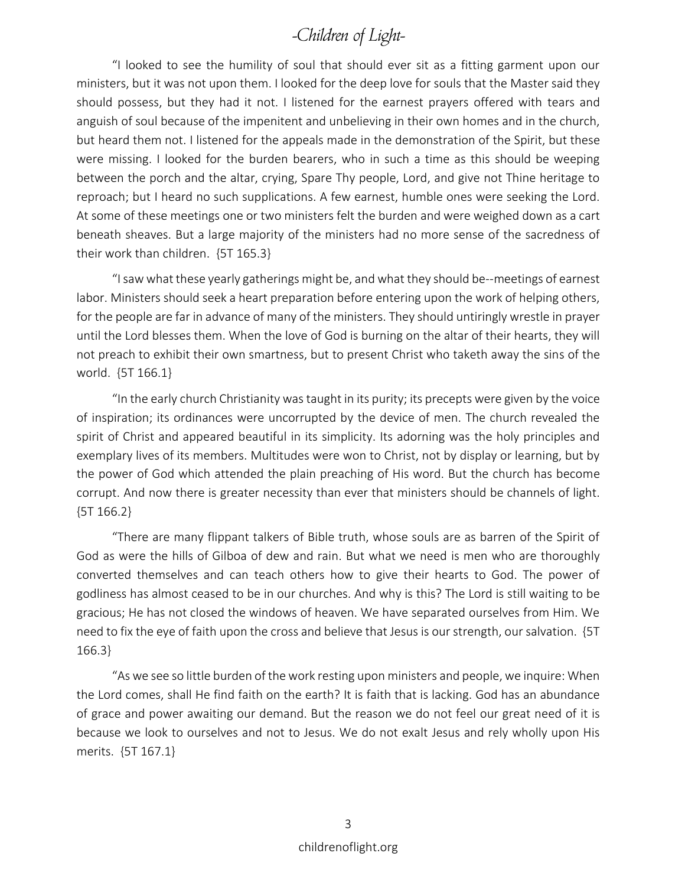## -Children of Light-

 "I looked to see the humility of soul that should ever sit as a fitting garment upon our ministers, but it was not upon them. I looked for the deep love for souls that the Master said they should possess, but they had it not. I listened for the earnest prayers offered with tears and anguish of soul because of the impenitent and unbelieving in their own homes and in the church, but heard them not. I listened for the appeals made in the demonstration of the Spirit, but these were missing. I looked for the burden bearers, who in such a time as this should be weeping between the porch and the altar, crying, Spare Thy people, Lord, and give not Thine heritage to reproach; but I heard no such supplications. A few earnest, humble ones were seeking the Lord. At some of these meetings one or two ministers felt the burden and were weighed down as a cart beneath sheaves. But a large majority of the ministers had no more sense of the sacredness of their work than children. {5T 165.3}

 "I saw what these yearly gatherings might be, and what they should be--meetings of earnest labor. Ministers should seek a heart preparation before entering upon the work of helping others, for the people are far in advance of many of the ministers. They should untiringly wrestle in prayer until the Lord blesses them. When the love of God is burning on the altar of their hearts, they will not preach to exhibit their own smartness, but to present Christ who taketh away the sins of the world. {5T 166.1}

 "In the early church Christianity was taught in its purity; its precepts were given by the voice of inspiration; its ordinances were uncorrupted by the device of men. The church revealed the spirit of Christ and appeared beautiful in its simplicity. Its adorning was the holy principles and exemplary lives of its members. Multitudes were won to Christ, not by display or learning, but by the power of God which attended the plain preaching of His word. But the church has become corrupt. And now there is greater necessity than ever that ministers should be channels of light. {5T 166.2}

 "There are many flippant talkers of Bible truth, whose souls are as barren of the Spirit of God as were the hills of Gilboa of dew and rain. But what we need is men who are thoroughly converted themselves and can teach others how to give their hearts to God. The power of godliness has almost ceased to be in our churches. And why is this? The Lord is still waiting to be gracious; He has not closed the windows of heaven. We have separated ourselves from Him. We need to fix the eye of faith upon the cross and believe that Jesus is our strength, our salvation. {5T 166.3}

 "As we see so little burden of the work resting upon ministers and people, we inquire: When the Lord comes, shall He find faith on the earth? It is faith that is lacking. God has an abundance of grace and power awaiting our demand. But the reason we do not feel our great need of it is because we look to ourselves and not to Jesus. We do not exalt Jesus and rely wholly upon His merits. {5T 167.1}